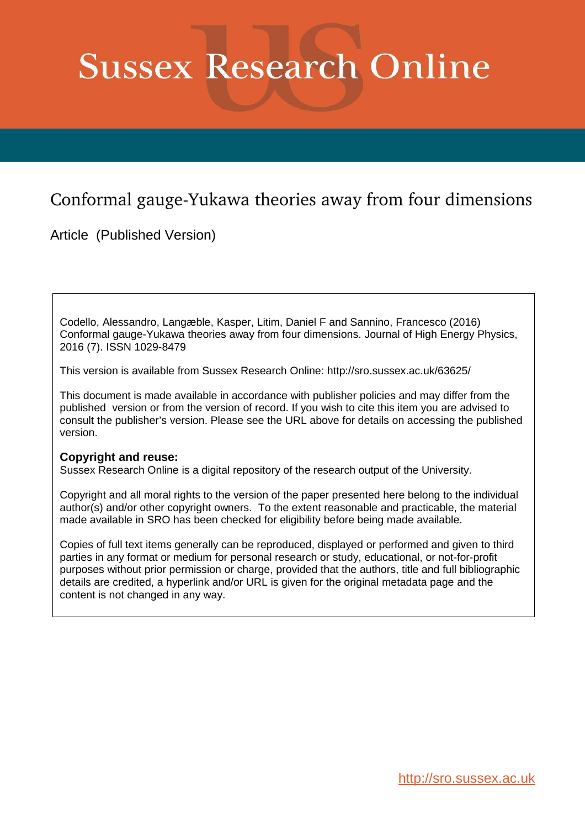# **Sussex Research Online**

# Conformal gauge-Yukawa theories away from four dimensions

Article (Published Version)

Codello, Alessandro, Langæble, Kasper, Litim, Daniel F and Sannino, Francesco (2016) Conformal gauge-Yukawa theories away from four dimensions. Journal of High Energy Physics, 2016 (7). ISSN 1029-8479

This version is available from Sussex Research Online: http://sro.sussex.ac.uk/63625/

This document is made available in accordance with publisher policies and may differ from the published version or from the version of record. If you wish to cite this item you are advised to consult the publisher's version. Please see the URL above for details on accessing the published version.

# **Copyright and reuse:**

Sussex Research Online is a digital repository of the research output of the University.

Copyright and all moral rights to the version of the paper presented here belong to the individual author(s) and/or other copyright owners. To the extent reasonable and practicable, the material made available in SRO has been checked for eligibility before being made available.

Copies of full text items generally can be reproduced, displayed or performed and given to third parties in any format or medium for personal research or study, educational, or not-for-profit purposes without prior permission or charge, provided that the authors, title and full bibliographic details are credited, a hyperlink and/or URL is given for the original metadata page and the content is not changed in any way.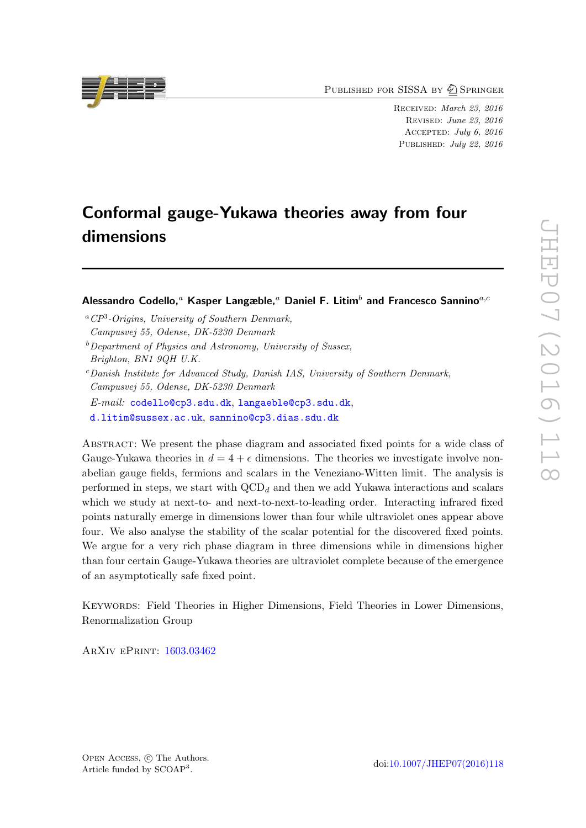PUBLISHED FOR SISSA BY 2 SPRINGER

RECEIVED: March 23, 2016 Revised : June 23, 2016 Accepted : July 6, 2016 PUBLISHED: July 22, 2016

# Conformal gauge-Yukawa theories away from four dimensions

Alessandro Codello, ${}^a$  Kasper Langæble, ${}^a$  Daniel F. Litim ${}^b$  and Francesco Sannino ${}^{a,c}$ 

- <sup>a</sup>*CP*<sup>3</sup> *-Origins, University of Southern Denmark, Campusvej 55, Odense, DK-5230 Denmark*
- <sup>b</sup>*Department of Physics and Astronomy, University of Sussex, Brighton, BN1 9QH U.K.*
- <span id="page-1-0"></span><sup>c</sup>*Danish Institute for Advanced Study, Danish IAS, University of Southern Denmark, Campusvej 55, Odense, DK-5230 Denmark*

*E-mail:* [codello@cp3.sdu.dk](mailto:codello@cp3.sdu.dk) , [langaeble@cp3.sdu.dk](mailto:langaeble@cp3.sdu.dk) ,

[d.litim@sussex.ac.uk](mailto:d.litim@sussex.ac.uk) , [sannino@cp3.dias.sdu.dk](mailto:sannino@cp3.dias.sdu.dk)

Abstract: We present the phase diagram and associated fixed points for a wide class of Gauge-Yukawa theories in  $d = 4 + \epsilon$  dimensions. The theories we investigate involve nonabelian gauge fields, fermions and scalars in the Veneziano-Witten limit. The analysis is performed in steps, we start with  $\text{QCD}_d$  and then we add Yukawa interactions and scalars which we study at next-to- and next-to-next-to-leading order. Interacting infrared fixed points naturally emerge in dimensions lower than four while ultraviolet ones appear above four. We also analyse the stability of the scalar potential for the discovered fixed points. We argue for a very rich phase diagram in three dimensions while in dimensions higher than four certain Gauge-Yukawa theories are ultraviolet complete because of the emergence of an asymptotically safe fixed point.

Keywords: Field Theories in Higher Dimensions, Field Theories in Lower Dimensions, Renormalization Group

ArXiv ePrint: [1603.03462](http://arxiv.org/abs/1603.03462)

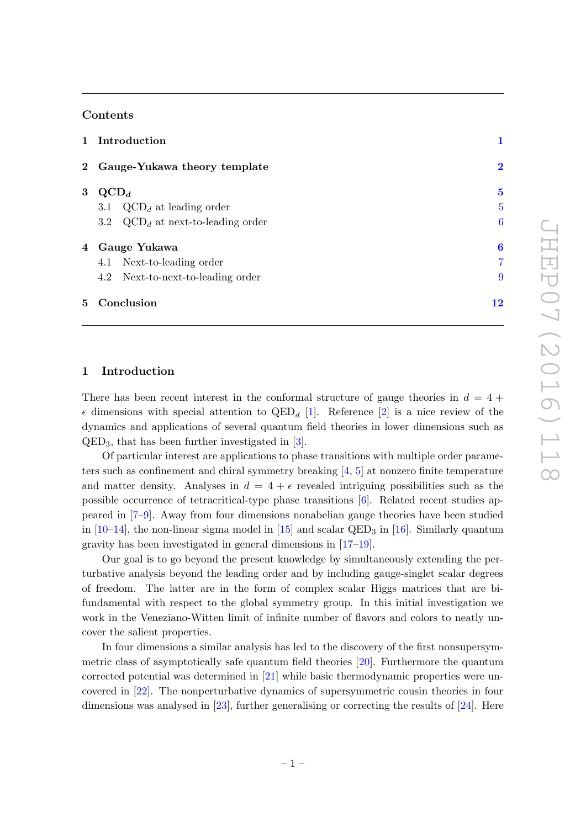### Contents

|             | 1 Introduction                       |                |
|-------------|--------------------------------------|----------------|
|             | 2 Gauge-Yukawa theory template       | $\bf{2}$       |
| 3           | $\mathrm{QCD}_d$                     | $\bf{5}$       |
|             | $3.1\,$<br>$QCD_d$ at leading order  | 5              |
|             | 3.2 $QCD_d$ at next-to-leading order | 6              |
|             | 4 Gauge Yukawa                       | 6              |
|             | 4.1 Next-to-leading order            | $\overline{7}$ |
|             | 4.2 Next-to-next-to-leading order    | 9              |
| $5^{\circ}$ | Conclusion                           | 12             |

# <span id="page-2-0"></span>1 Introduction

There has been recent interest in the conformal structure of gauge theories in  $d = 4 +$  $\epsilon$  dimensions with special attention to  $\text{QED}_d$  [[1\]](#page-13-0). Reference [[2\]](#page-13-1) is a nice review of the dynamics and applications of several quantum field theories in lower dimensions such as QED <sup>3</sup>, that has been further investigated in [ [3\]](#page-13-2).

Of particular interest are applications to phase transitions with multiple order parameters such as confinement and chiral symmetry breaking  $[4, 5]$  $[4, 5]$  at nonzero finite temperature and matter density. Analyses in  $d = 4 + \epsilon$  revealed intriguing possibilities such as the possible occurrence of tetracritical-type phase transitions [ [6\]](#page-13-5). Related recent studies appeared in [\[7](#page-13-6)[–9\]](#page-13-7). Away from four dimensions nonabelian gauge theories have been studied in [\[10](#page-13-8) [–14\]](#page-13-9), the non-linear sigma model in [\[15\]](#page-13-10) and scalar QED <sup>3</sup> in [\[16\]](#page-13-11). Similarly quantum gravity has been investigated in general dimensions in [\[17](#page-13-12) [–19\]](#page-14-0).

Our goal is to go beyond the present knowledge by simultaneously extending the perturbative analysis beyond the leading order and by including gauge-singlet scalar degrees of freedom. The latter are in the form of complex scalar Higgs matrices that are bifundamental with respect to the global symmetry group. In this initial investigation we work in the Veneziano-Witten limit of infinite number of flavors and colors to neatly uncover the salient properties.

<span id="page-2-1"></span>In four dimensions a similar analysis has led to the discovery of the first nonsupersymmetric class of asymptotically safe quantum field theories [\[20\]](#page-14-1). Furthermore the quantum corrected potential was determined in [\[21\]](#page-14-2) while basic thermodynamic properties were uncovered in [\[22\]](#page-14-3). The nonperturbative dynamics of supersymmetric cousin theories in four dimensions was analysed in [\[23\]](#page-14-4), further generalising or correcting the results of [\[24\]](#page-14-5). Here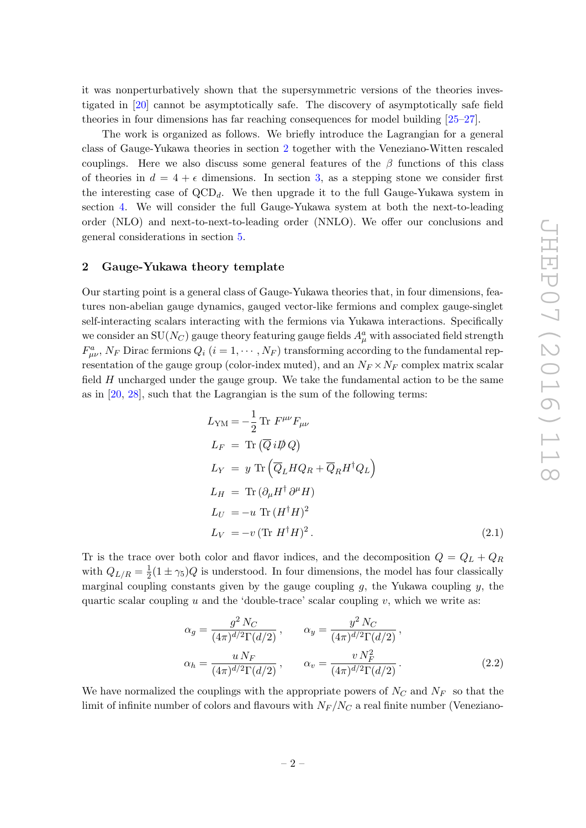it was nonperturbatively shown that the supersymmetric versions of the theories investigated in [\[20\]](#page-14-1) cannot be asymptotically safe. The discovery of asymptotically safe field theories in four dimensions has far reaching consequences for model building [\[25](#page-14-6) [–27\]](#page-14-7).

The work is organized as follows. We briefly introduce the Lagrangian for a general class of Gauge-Yukawa theories in section [2](#page-2-0) together with the Veneziano-Witten rescaled couplings. Here we also discuss some general features of the  $\beta$  functions of this class of theories in  $d = 4 + \epsilon$  dimensions. In section [3,](#page-5-0) as a stepping stone we consider first the interesting case of  $\text{QCD}_d$ . We then upgrade it to the full Gauge-Yukawa system in section [4.](#page-6-1) We will consider the full Gauge-Yukawa system at both the next-to-leading order (NLO) and next-to-next-to-leading order (NNLO). We offer our conclusions and general considerations in section [5](#page-12-0) .

#### 2 Gauge-Yukawa theory template

Our starting point is a general class of Gauge-Yukawa theories that, in four dimensions, features non-abelian gauge dynamics, gauged vector-like fermions and complex gauge-singlet self-interacting scalars interacting with the fermions via Yukawa interactions. Specifically we consider an  $\mathrm{SU}(N_C)$  gauge theory featuring gauge fields  $A_\mu^a$  with associated field strength  $F_{\mu\nu}^a$ ,  $N_F$  Dirac fermions  $Q_i$   $(i = 1, \cdots, N_F)$  transforming according to the fundamental representation of the gauge group (color-index muted), and an  $N_F \times N_F$  complex matrix scalar field  $H$  uncharged under the gauge group. We take the fundamental action to be the same as in  $[20, 28]$  $[20, 28]$ , such that the Lagrangian is the sum of the following terms:

$$
L_{\text{YM}} = -\frac{1}{2} \text{Tr } F^{\mu\nu} F_{\mu\nu}
$$
  
\n
$$
L_F = \text{Tr } (\overline{Q} i \overline{D} Q)
$$
  
\n
$$
L_Y = y \text{ Tr } (\overline{Q}_L H Q_R + \overline{Q}_R H^{\dagger} Q_L)
$$
  
\n
$$
L_H = \text{Tr } (\partial_{\mu} H^{\dagger} \partial^{\mu} H)
$$
  
\n
$$
L_U = -u \text{ Tr } (H^{\dagger} H)^2
$$
  
\n
$$
L_V = -v (\text{Tr } H^{\dagger} H)^2.
$$
\n(2.1)

Tr is the trace over both color and flavor indices, and the decomposition  $Q = Q_L + Q_R$ with  $Q_{L/R} = \frac{1}{2}(1 \pm \gamma_5)Q$  is understood. In four dimensions, the model has four classically marginal coupling constants given by the gauge coupling  $g$ , the Yukawa coupling  $y$ , the quartic scalar coupling  $u$  and the 'double-trace' scalar coupling  $v$ , which we write as:

<span id="page-3-0"></span>
$$
\alpha_g = \frac{g^2 N_C}{(4\pi)^{d/2} \Gamma(d/2)}, \qquad \alpha_y = \frac{y^2 N_C}{(4\pi)^{d/2} \Gamma(d/2)},
$$
  

$$
\alpha_h = \frac{u N_F}{(4\pi)^{d/2} \Gamma(d/2)}, \qquad \alpha_v = \frac{v N_F^2}{(4\pi)^{d/2} \Gamma(d/2)}.
$$
(2.2)

We have normalized the couplings with the appropriate powers of  $N_C$  and  $N_F$  so that the limit of infinite number of colors and flavours with  $N_F/N_C$  a real finite number (Veneziano-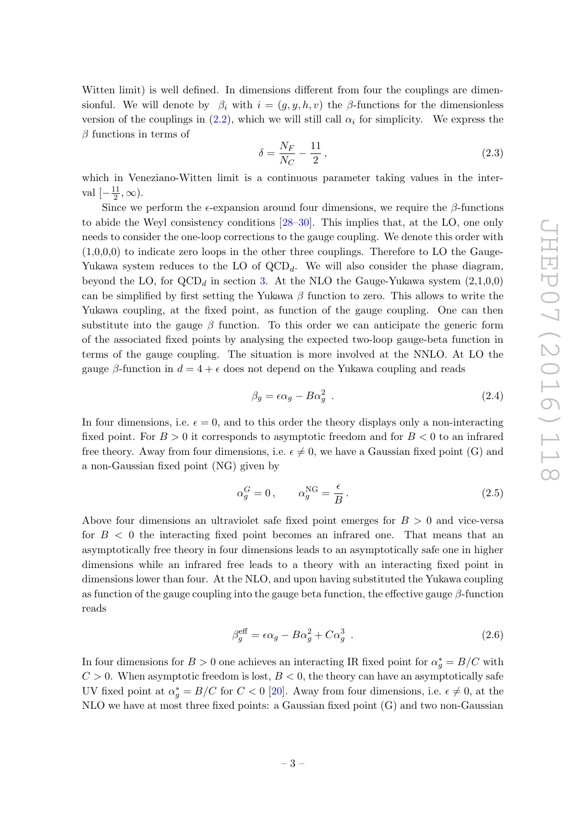Witten limit) is well defined. In dimensions different from four the couplings are dimensionful. We will denote by  $\beta_i$  with  $i = (g, y, h, v)$  the  $\beta$ -functions for the dimensionless version of the couplings in  $(2.2)$ , which we will still call  $\alpha_i$  for simplicity. We express the  $\beta$  functions in terms of

$$
\delta = \frac{N_F}{N_C} - \frac{11}{2},\tag{2.3}
$$

which in Veneziano-Witten limit is a continuous parameter taking values in the interval  $\left[-\frac{11}{2}, \infty\right)$ .

<span id="page-4-0"></span>Since we perform the  $\epsilon$ -expansion around four dimensions, we require the  $\beta$ -functions to abide the Weyl consistency conditions [\[28](#page-14-8) [–30\]](#page-14-9). This implies that, at the LO, one only needs to consider the one-loop corrections to the gauge coupling. We denote this order with  $(1,0,0,0)$  to indicate zero loops in the other three couplings. Therefore to LO the Gauge-Yukawa system reduces to the LO of  $QCD<sub>d</sub>$ . We will also consider the phase diagram, beyond the LO, for  $\text{QCD}_d$  in section [3.](#page-5-0) At the NLO the Gauge-Yukawa system  $(2,1,0,0)$ can be simplified by first setting the Yukawa  $\beta$  function to zero. This allows to write the Yukawa coupling, at the fixed point, as function of the gauge coupling. One can then substitute into the gauge  $\beta$  function. To this order we can anticipate the generic form of the associated fixed points by analysing the expected two-loop gauge-beta function in terms of the gauge coupling. The situation is more involved at the NNLO. At LO the gauge  $\beta$ -function in  $d = 4 + \epsilon$  does not depend on the Yukawa coupling and reads

<span id="page-4-1"></span>
$$
\beta_g = \epsilon \alpha_g - B \alpha_g^2 \tag{2.4}
$$

In four dimensions, i.e.  $\epsilon = 0$ , and to this order the theory displays only a non-interacting fixed point. For  $B > 0$  it corresponds to asymptotic freedom and for  $B < 0$  to an infrared free theory. Away from four dimensions, i.e.  $\epsilon \neq 0$ , we have a Gaussian fixed point (G) and a non-Gaussian fixed point (NG) given by

$$
\alpha_g^G = 0, \qquad \alpha_g^{\text{NG}} = \frac{\epsilon}{B} \,. \tag{2.5}
$$

Above four dimensions an ultraviolet safe fixed point emerges for  $B > 0$  and vice-versa for  $B < 0$  the interacting fixed point becomes an infrared one. That means that an asymptotically free theory in four dimensions leads to an asymptotically safe one in higher dimensions while an infrared free leads to a theory with an interacting fixed point in dimensions lower than four. At the NLO, and upon having substituted the Yukawa coupling as function of the gauge coupling into the gauge beta function, the effective gauge  $\beta$ -function reads

$$
\beta_g^{\text{eff}} = \epsilon \alpha_g - B \alpha_g^2 + C \alpha_g^3 \tag{2.6}
$$

In four dimensions for  $B > 0$  one achieves an interacting IR fixed point for  $\alpha_g^* = B/C$  with  $C > 0$ . When asymptotic freedom is lost,  $B < 0$ , the theory can have an asymptotically safe UV fixed point at  $\alpha_g^* = B/C$  for  $C < 0$  [\[20\]](#page-14-1). Away from four dimensions, i.e.  $\epsilon \neq 0$ , at the NLO we have at most three fixed points: a Gaussian fixed point (G) and two non-Gaussian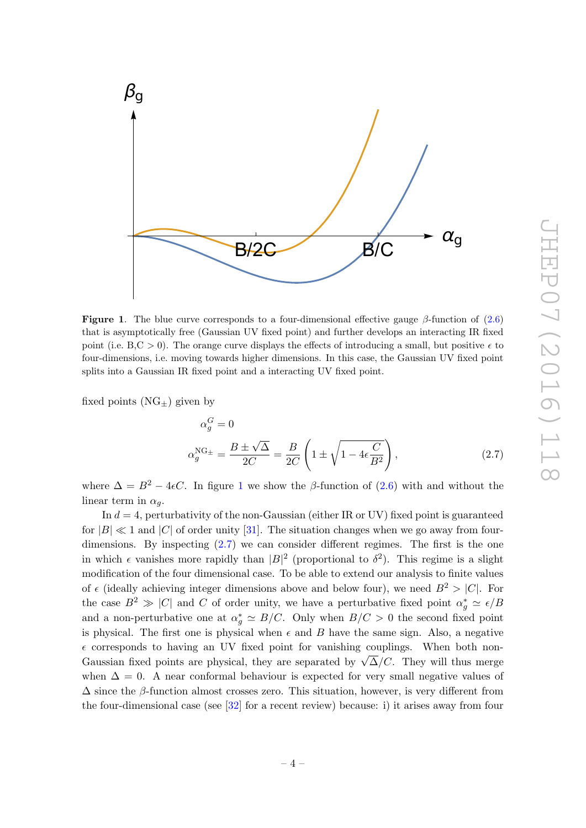<span id="page-5-4"></span>

<span id="page-5-1"></span><span id="page-5-0"></span>**Figure 1.** The blue curve corresponds to a four-dimensional effective gauge  $\beta$ -function of  $(2.6)$ that is asymptotically free (Gaussian UV fixed point) and further develops an interacting IR fixed point (i.e.  $B, C > 0$ ). The orange curve displays the effects of introducing a small, but positive  $\epsilon$  to four-dimensions, i.e. moving towards higher dimensions. In this case, the Gaussian UV fixed point splits into a Gaussian IR fixed point and a interacting UV fixed point.

fixed points  $(NG_{\pm})$  given by

<span id="page-5-2"></span>
$$
\alpha_g^G = 0
$$
  

$$
\alpha_g^{\text{NG}_{\pm}} = \frac{B \pm \sqrt{\Delta}}{2C} = \frac{B}{2C} \left( 1 \pm \sqrt{1 - 4\epsilon \frac{C}{B^2}} \right),
$$
 (2.7)

where  $\Delta = B^2 - 4\epsilon C$ . In figure [1](#page-4-0) we show the  $\beta$ -function of [\(2.6\)](#page-3-0) with and without the linear term in  $\alpha_g$ .

<span id="page-5-3"></span>In  $d = 4$ , perturbativity of the non-Gaussian (either IR or UV) fixed point is guaranteed for  $|B| \ll 1$  and  $|C|$  of order unity [\[31\]](#page-14-10). The situation changes when we go away from fourdimensions. By inspecting [\(2.7\)](#page-4-1) we can consider different regimes. The first is the one in which  $\epsilon$  vanishes more rapidly than  $|B|^2$  (proportional to  $\delta^2$ ). This regime is a slight modification of the four dimensional case. To be able to extend our analysis to finite values of  $\epsilon$  (ideally achieving integer dimensions above and below four), we need  $B^2 > |C|$ . For the case  $B^2 \gg |C|$  and C of order unity, we have a perturbative fixed point  $\alpha_g^* \simeq \epsilon/B$ and a non-perturbative one at  $\alpha_g^* \simeq B/C$ . Only when  $B/C > 0$  the second fixed point is physical. The first one is physical when  $\epsilon$  and  $B$  have the same sign. Also, a negative  $\epsilon$  corresponds to having an UV fixed point for vanishing couplings. When both non-Gaussian fixed points are physical, they are separated by  $\sqrt{\Delta}/C$ . They will thus merge when  $\Delta = 0$ . A near conformal behaviour is expected for very small negative values of  $\Delta$  since the  $\beta$ -function almost crosses zero. This situation, however, is very different from the four-dimensional case (see [\[32\]](#page-14-11) for a recent review) because: i) it arises away from four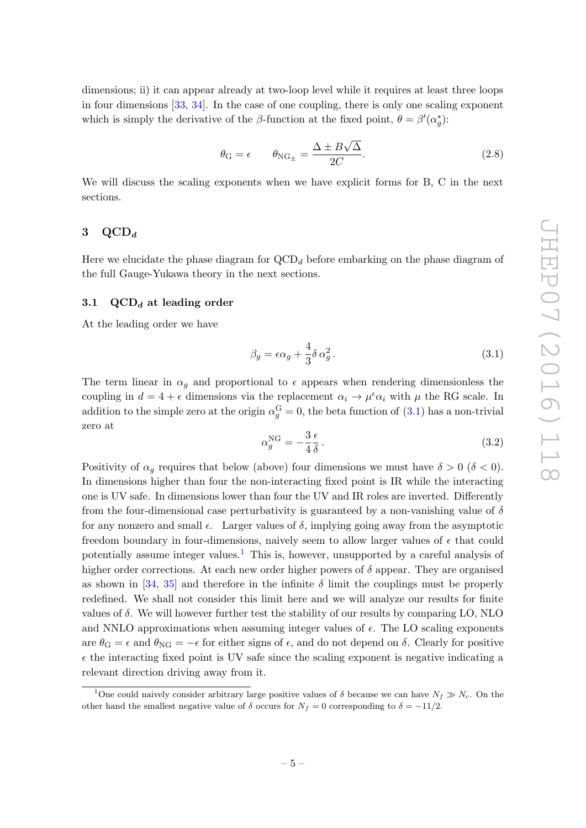dimensions; ii) it can appear already at two-loop level while it requires at least three loops in four dimensions [\[33](#page-14-12) , [34\]](#page-14-13). In the case of one coupling, there is only one scaling exponent which is simply the derivative of the  $\beta$ -function at the fixed point,  $\theta = \beta'(\alpha_{\hat{g}}^*)$ :

$$
\theta_{\rm G} = \epsilon \qquad \theta_{\rm NG_{\pm}} = \frac{\Delta \pm B\sqrt{\Delta}}{2C}.
$$
\n(2.8)

<span id="page-6-2"></span><span id="page-6-0"></span>We will discuss the scaling exponents when we have explicit forms for B, C in the next sections.

# $3\quad \mathrm{QCD}_d$

Here we elucidate the phase diagram for  $\text{QCD}_d$  before embarking on the phase diagram of the full Gauge-Yukawa theory in the next sections.

#### 3.1  $\mathrm{QCD}_d$  at leading order

At the leading order we have

<span id="page-6-3"></span>
$$
\beta_g = \epsilon \alpha_g + \frac{4}{3} \delta \alpha_g^2. \tag{3.1}
$$

The term linear in  $\alpha_g$  and proportional to  $\epsilon$  appears when rendering dimensionless the coupling in  $d = 4 + \epsilon$  dimensions via the replacement  $\alpha_i \to \mu^{\epsilon} \alpha_i$  with  $\mu$  the RG scale. In addition to the simple zero at the origin  $\alpha_g^{\text{G}} = 0$ , the beta function of  $(3.1)$  has a non-trivial zero at

$$
\alpha_g^{\rm NG} = -\frac{3}{4} \frac{\epsilon}{\delta} \,. \tag{3.2}
$$

Positivity of  $\alpha_g$  requires that below (above) four dimensions we must have  $\delta > 0$  ( $\delta < 0$ ). In dimensions higher than four the non-interacting fixed point is IR while the interacting one is UV safe. In dimensions lower than four the UV and IR roles are inverted. Differently from the four-dimensional case perturbativity is guaranteed by a non-vanishing value of  $\delta$ for any nonzero and small  $\epsilon$ . Larger values of  $\delta$ , implying going away from the asymptotic freedom boundary in four-dimensions, naively seem to allow larger values of  $\epsilon$  that could potentially assume integer values. [1](#page-5-3) This is, however, unsupported by a careful analysis of higher order corrections. At each new order higher powers of  $\delta$  appear. They are organised as shown in  $[34, 35]$  $[34, 35]$  and therefore in the infinite  $\delta$  limit the couplings must be properly redefined. We shall not consider this limit here and we will analyze our results for finite values of δ. We will however further test the stability of our results by comparing LO, NLO and NNLO approximations when assuming integer values of  $\epsilon$ . The LO scaling exponents are  $\theta_{\rm G} = \epsilon$  and  $\theta_{\rm NG} = -\epsilon$  for either signs of  $\epsilon$ , and do not depend on  $\delta$ . Clearly for positive  $\epsilon$  the interacting fixed point is UV safe since the scaling exponent is negative indicating a relevant direction driving away from it.

<span id="page-6-1"></span><sup>&</sup>lt;sup>1</sup>One could naively consider arbitrary large positive values of  $\delta$  because we can have  $N_f \gg N_c$ . On the other hand the smallest negative value of  $\delta$  occurs for  $N_f = 0$  corresponding to  $\delta = -11/2$ .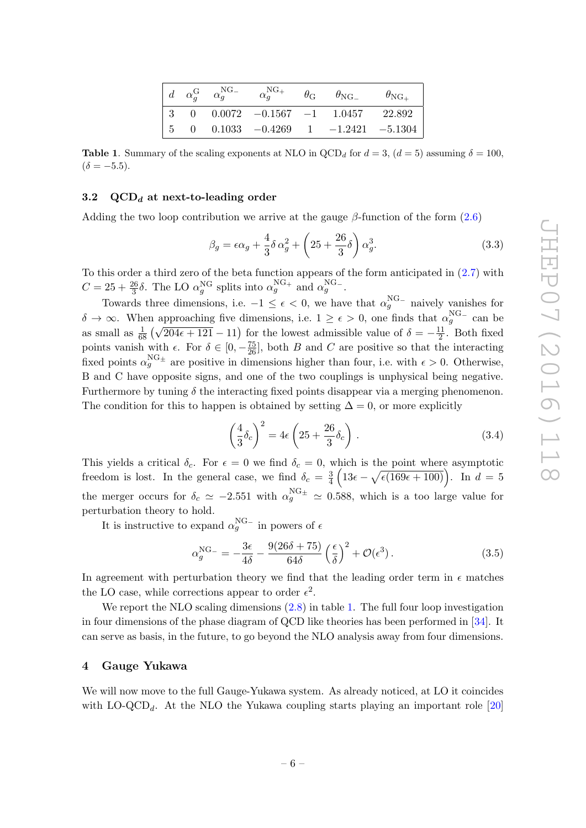<span id="page-7-0"></span>

|  |  |                                                                                                                |  | $\left. \begin{array}{ccccc} d & \alpha_q^{\rm G} & \alpha_g^{\rm NG_-} & \alpha_g^{\rm NG_+} & \theta_{\rm G} & \theta_{\rm NG_-} & \theta_{\rm NG_+} \end{array} \right.$ |  |
|--|--|----------------------------------------------------------------------------------------------------------------|--|-----------------------------------------------------------------------------------------------------------------------------------------------------------------------------|--|
|  |  | $\begin{array}{ c c c c c c c c c } \hline 3 & 0 & 0.0072 & -0.1567 & -1 & 1.0457 & 22.892 \hline \end{array}$ |  |                                                                                                                                                                             |  |
|  |  | $\begin{vmatrix} 5 & 0 & 0.1033 & -0.4269 & 1 & -1.2421 & -5.1304 \end{vmatrix}$                               |  |                                                                                                                                                                             |  |

 $(\delta = -5.5).$ 

# $3.2\quad \mathrm{QCD}_d$  at next-to-leading order

Adding the two loop contribution we arrive at the gauge  $\beta$ -function of the form  $(2.6)$ 

<span id="page-7-2"></span><span id="page-7-1"></span>
$$
\beta_g = \epsilon \alpha_g + \frac{4}{3} \delta \alpha_g^2 + \left(25 + \frac{26}{3} \delta\right) \alpha_g^3. \tag{3.3}
$$

To this order a third zero of the beta function appears of the form anticipated in [\(2.7\)](#page-4-1) with  $C = 25 + \frac{26}{3}\delta$ . The LO  $\alpha_g^{\text{NG}}$  splits into  $\alpha_g^{\text{NG}}$  and  $\alpha_g^{\text{NG}}$ .

Towards three dimensions, i.e.  $-1 \leq \epsilon < 0$ , we have that  $\alpha_g^{\text{NG}-}$  naively vanishes for  $\delta \to \infty$ . When approaching five dimensions, i.e.  $1 \ge \epsilon > 0$ , one finds that  $\alpha_g^{\text{NG}-}$  can be as small as  $\frac{1}{69}$  $\frac{1}{68}(\sqrt{204\epsilon+121}-11)$  for the lowest admissible value of  $\delta=-\frac{11}{2}$ . Both fixed points vanish with  $\epsilon$ . For  $\delta \in [0, -\frac{75}{26}]$ , both B and C are positive so that the interacting fixed points  $\alpha_g^{\text{NG}_{\pm}}$  are positive in dimensions higher than four, i.e. with  $\epsilon > 0$ . Otherwise, B and C have opposite signs, and one of the two couplings is unphysical being negative. Furthermore by tuning  $\delta$  the interacting fixed points disappear via a merging phenomenon. The condition for this to happen is obtained by setting  $\Delta = 0$ , or more explicitly

$$
\left(\frac{4}{3}\delta_c\right)^2 = 4\epsilon \left(25 + \frac{26}{3}\delta_c\right). \tag{3.4}
$$

This yields a critical  $\delta_c$ . For  $\epsilon = 0$  we find  $\delta_c = 0$ , which is the point where asymptotic freedom is lost. In the general case, we find  $\delta_c = \frac{3}{4} \left( 13\epsilon - \sqrt{\epsilon (169\epsilon + 100)} \right)$ . In  $d = 5$ the merger occurs for  $\delta_c \simeq -2.551$  with  $\alpha_g^{\text{NG}_{\pm}} \simeq 0.588$ , which is a too large value for perturbation theory to hold.

It is instructive to expand  $\alpha_g^{\text{NG}-}$  in powers of  $\epsilon$ 

<span id="page-7-3"></span>
$$
\alpha_g^{\text{NG-}} = -\frac{3\epsilon}{4\delta} - \frac{9(26\delta + 75)}{64\delta} \left(\frac{\epsilon}{\delta}\right)^2 + \mathcal{O}(\epsilon^3). \tag{3.5}
$$

In agreement with perturbation theory we find that the leading order term in  $\epsilon$  matches the LO case, while corrections appear to order  $\epsilon^2$ .

We report the NLO scaling dimensions  $(2.8)$  in table [1.](#page-6-2) The full four loop investigation in four dimensions of the phase diagram of QCD like theories has been performed in [\[34\]](#page-14-13). It can serve as basis, in the future, to go beyond the NLO analysis away from four dimensions.

# 4 Gauge Yukawa

We will now move to the full Gauge-Yukawa system. As already noticed, at LO it coincides with  $\text{LO-QCD}_d$ . At the NLO the Yukawa coupling starts playing an important role [\[20](#page-14-1)]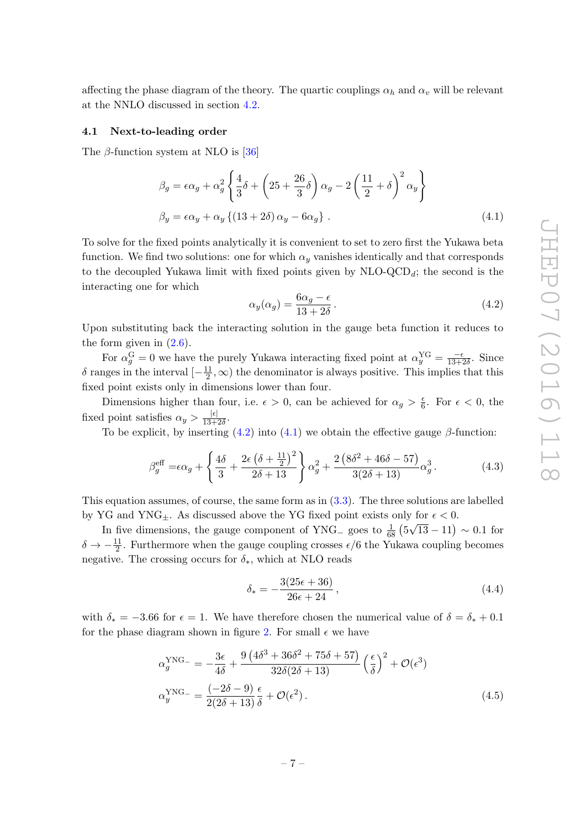affecting the phase diagram of the theory. The quartic couplings  $\alpha_h$  and  $\alpha_v$  will be relevant at the NNLO discussed in section [4.2](#page-9-0) .

#### 4.1 Next-to-leading order

The  $\beta$ -function system at NLO is [\[36](#page-14-15)]

$$
\beta_g = \epsilon \alpha_g + \alpha_g^2 \left\{ \frac{4}{3} \delta + \left( 25 + \frac{26}{3} \delta \right) \alpha_g - 2 \left( \frac{11}{2} + \delta \right)^2 \alpha_y \right\}
$$
  

$$
\beta_y = \epsilon \alpha_y + \alpha_y \left\{ (13 + 2\delta) \alpha_y - 6\alpha_g \right\} .
$$
 (4.1)

<span id="page-8-0"></span>To solve for the fixed points analytically it is convenient to set to zero first the Yukawa beta function. We find two solutions: one for which  $\alpha_y$  vanishes identically and that corresponds to the decoupled Yukawa limit with fixed points given by  $NLO$ - $QCD_d$ ; the second is the interacting one for which

$$
\alpha_y(\alpha_g) = \frac{6\alpha_g - \epsilon}{13 + 2\delta}.
$$
\n(4.2)

Upon substituting back the interacting solution in the gauge beta function it reduces to the form given in  $(2.6)$ .

For  $\alpha_g^{\text{G}} = 0$  we have the purely Yukawa interacting fixed point at  $\alpha_y^{\text{YG}} = \frac{-\epsilon}{13+2\epsilon}$  $\frac{-\epsilon}{13+2\delta}$ . Since δ ranges in the interval  $\left[-\frac{11}{2}, \infty\right)$  the denominator is always positive. This implies that this fixed point exists only in dimensions lower than four.

Dimensions higher than four, i.e.  $\epsilon > 0$ , can be achieved for  $\alpha_g > \frac{\epsilon}{6}$  $\frac{\epsilon}{6}$ . For  $\epsilon < 0$ , the fixed point satisfies  $\alpha_y > \frac{|\epsilon|}{13+2\delta}$ .

To be explicit, by inserting  $(4.2)$  into  $(4.1)$  we obtain the effective gauge  $\beta$ -function:

$$
\beta_g^{\text{eff}} = \epsilon \alpha_g + \left\{ \frac{4\delta}{3} + \frac{2\epsilon (\delta + \frac{11}{2})^2}{2\delta + 13} \right\} \alpha_g^2 + \frac{2 (8\delta^2 + 46\delta - 57)}{3(2\delta + 13)} \alpha_g^3. \tag{4.3}
$$

This equation assumes, of course, the same form as in [\(3.3\)](#page-6-3). The three solutions are labelled by YG and YNG<sub> $\pm$ </sub>. As discussed above the YG fixed point exists only for  $\epsilon$  < 0.

In five dimensions, the gauge component of YNG<sub>-</sub> goes to  $\frac{1}{68}$  $\frac{1}{68}$   $(5\sqrt{13} - 11) \sim 0.1$  for  $\delta \to -\frac{11}{2}$ . Furthermore when the gauge coupling crosses  $\epsilon/6$  the Yukawa coupling becomes negative. The crossing occurs for  $\delta_{*}$ , which at NLO reads

$$
\delta_* = -\frac{3(25\epsilon + 36)}{26\epsilon + 24},\tag{4.4}
$$

with  $\delta_* = -3.66$  for  $\epsilon = 1$ . We have therefore chosen the numerical value of  $\delta = \delta_* + 0.1$ for the phase diagram shown in figure [2.](#page-8-0) For small  $\epsilon$  we have

$$
\alpha_g^{\text{YNG-}} = -\frac{3\epsilon}{4\delta} + \frac{9\left(4\delta^3 + 36\delta^2 + 75\delta + 57\right)}{32\delta(2\delta + 13)} \left(\frac{\epsilon}{\delta}\right)^2 + \mathcal{O}(\epsilon^3)
$$
  

$$
\alpha_g^{\text{YNG-}} = \frac{(-2\delta - 9)}{2(2\delta + 13)} \frac{\epsilon}{\delta} + \mathcal{O}(\epsilon^2).
$$
 (4.5)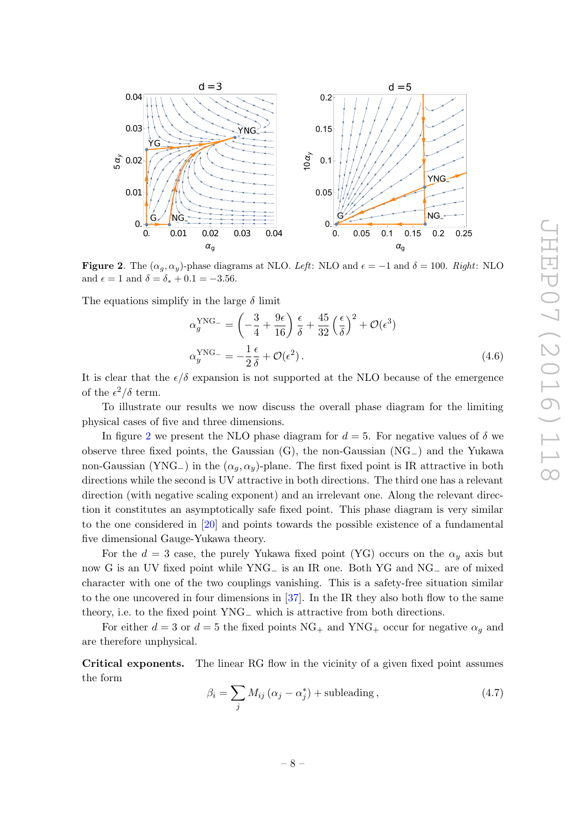

<span id="page-9-1"></span>**Figure 2**. The  $(\alpha_g, \alpha_y)$ -phase diagrams at NLO. *Left*: NLO and  $\epsilon = -1$  and  $\delta = 100$ . *Right*: NLO and  $\epsilon = 1$  and  $\delta = \delta_* + 0.1 = -3.56$ .

The equations simplify in the large  $\delta$  limit

$$
\alpha_g^{\text{YNG}_{-}} = \left(-\frac{3}{4} + \frac{9\epsilon}{16}\right)\frac{\epsilon}{\delta} + \frac{45}{32}\left(\frac{\epsilon}{\delta}\right)^2 + \mathcal{O}(\epsilon^3)
$$

$$
\alpha_y^{\text{YNG}_{-}} = -\frac{1}{2}\frac{\epsilon}{\delta} + \mathcal{O}(\epsilon^2). \tag{4.6}
$$

<span id="page-9-2"></span>It is clear that the  $\epsilon/\delta$  expansion is not supported at the NLO because of the emergence of the  $\epsilon^2/\delta$  term.

To illustrate our results we now discuss the overall phase diagram for the limiting physical cases of five and three dimensions.

In figure [2](#page-8-0) we present the NLO phase diagram for  $d = 5$ . For negative values of  $\delta$  we observe three fixed points, the Gaussian  $(G)$ , the non-Gaussian  $(NG_{-})$  and the Yukawa non-Gaussian (YNG<sub>-</sub>) in the  $(\alpha_g, \alpha_y)$ -plane. The first fixed point is IR attractive in both directions while the second is UV attractive in both directions. The third one has a relevant direction (with negative scaling exponent) and an irrelevant one. Along the relevant direction it constitutes an asymptotically safe fixed point. This phase diagram is very similar to the one considered in [\[20\]](#page-14-1) and points towards the possible existence of a fundamental five dimensional Gauge-Yukawa theory.

<span id="page-9-0"></span>For the  $d=3$  case, the purely Yukawa fixed point (YG) occurs on the  $\alpha_y$  axis but now G is an UV fixed point while YNG<sub>−</sub> is an IR one. Both YG and NG<sub>−</sub> are of mixed character with one of the two couplings vanishing. This is a safety-free situation similar to the one uncovered in four dimensions in [\[37\]](#page-14-16). In the IR they also both flow to the same theory, i.e. to the fixed point YNG <sup>−</sup> which is attractive from both directions.

For either  $d = 3$  or  $d = 5$  the fixed points  $\text{NG}_+$  and  $\text{YNG}_+$  occur for negative  $\alpha_g$  and are therefore unphysical.

Critical exponents. The linear RG flow in the vicinity of a given fixed point assumes the form

$$
\beta_i = \sum_j M_{ij} (\alpha_j - \alpha_j^*) + \text{subleading}, \qquad (4.7)
$$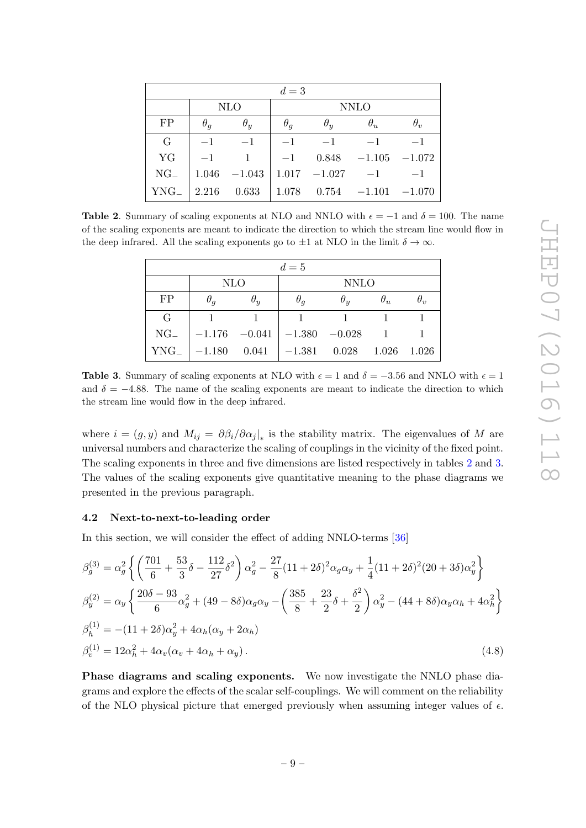| $d=3$    |            |            |             |            |                                                           |            |  |  |
|----------|------------|------------|-------------|------------|-----------------------------------------------------------|------------|--|--|
|          |            | <b>NLO</b> | <b>NNLO</b> |            |                                                           |            |  |  |
| FP       | $\theta_q$ | $\theta_u$ | $\theta_q$  | $\theta_u$ | $\theta_u$                                                | $\theta_v$ |  |  |
| $\rm G$  | $-1$       | $-1$       |             | $-1$ $-1$  | $-1$                                                      | $-1$       |  |  |
| YG       | $-1$       |            |             |            | $-1$ 0.848 $-1.105$ $-1.072$                              |            |  |  |
| $NG_{-}$ |            |            |             |            | $1.046 -1.043 \mid 1.017 -1.027 -1$                       |            |  |  |
|          |            |            |             |            | YNG $\vert$ 2.216 0.633 $\vert$ 1.078 0.754 -1.101 -1.070 |            |  |  |

**Table 2.** Summary of scaling exponents at NLO and NNLO with  $\epsilon = -1$  and  $\delta = 100$ . The name of the scaling exponents are meant to indicate the direction to which the stream line would flow in the deep infrared. All the scaling exponents go to  $\pm 1$  at NLO in the limit  $\delta \to \infty$ .

<span id="page-10-0"></span>

| $d=5$       |                                                  |            |             |            |            |              |  |  |
|-------------|--------------------------------------------------|------------|-------------|------------|------------|--------------|--|--|
|             | <b>NLO</b>                                       |            | <b>NNLO</b> |            |            |              |  |  |
| FP          | $\theta_q$                                       | $\theta_u$ | $\theta_q$  | $\theta_u$ | $\theta_u$ | $\theta_{v}$ |  |  |
| $\mathbf G$ |                                                  |            |             |            |            |              |  |  |
|             | $NG_-$   $-1.176$ $-0.041$   $-1.380$ $-0.028$ 1 |            |             |            |            |              |  |  |
|             | $YNG_-$ -1.180 0.041 -1.381 0.028 1.026 1.026    |            |             |            |            |              |  |  |

**Table 3.** Summary of scaling exponents at NLO with  $\epsilon = 1$  and  $\delta = -3.56$  and NNLO with  $\epsilon = 1$ and  $\delta = -4.88$ . The name of the scaling exponents are meant to indicate the direction to which the stream line would flow in the deep infrared.

where  $i = (g, y)$  and  $M_{ij} = \partial \beta_i / \partial \alpha_j |_*$  is the stability matrix. The eigenvalues of M are universal numbers and characterize the scaling of couplings in the vicinity of the fixed point. The scaling exponents in three and five dimensions are listed respectively in tables [2](#page-9-1) and [3](#page-9-2). The values of the scaling exponents give quantitative meaning to the phase diagrams we presented in the previous paragraph.

#### 4.2 Next-to-next-to-leading order

In this section, we will consider the effect of adding NNLO-terms [\[36](#page-14-15) ]

<span id="page-10-1"></span>
$$
\beta_g^{(3)} = \alpha_g^2 \left\{ \left( \frac{701}{6} + \frac{53}{3} \delta - \frac{112}{27} \delta^2 \right) \alpha_g^2 - \frac{27}{8} (11 + 2 \delta)^2 \alpha_g \alpha_y + \frac{1}{4} (11 + 2 \delta)^2 (20 + 3 \delta) \alpha_y^2 \right\}
$$
  
\n
$$
\beta_g^{(2)} = \alpha_y \left\{ \frac{20 \delta - 93}{6} \alpha_g^2 + (49 - 8 \delta) \alpha_g \alpha_y - \left( \frac{385}{8} + \frac{23}{2} \delta + \frac{\delta^2}{2} \right) \alpha_y^2 - (44 + 8 \delta) \alpha_y \alpha_h + 4 \alpha_h^2 \right\}
$$
  
\n
$$
\beta_h^{(1)} = -(11 + 2 \delta) \alpha_y^2 + 4 \alpha_h (\alpha_y + 2 \alpha_h)
$$
  
\n
$$
\beta_v^{(1)} = 12 \alpha_h^2 + 4 \alpha_v (\alpha_v + 4 \alpha_h + \alpha_y).
$$
\n(4.8)

Phase diagrams and scaling exponents. We now investigate the NNLO phase diagrams and explore the effects of the scalar self-couplings. We will comment on the reliability of the NLO physical picture that emerged previously when assuming integer values of  $\epsilon$ .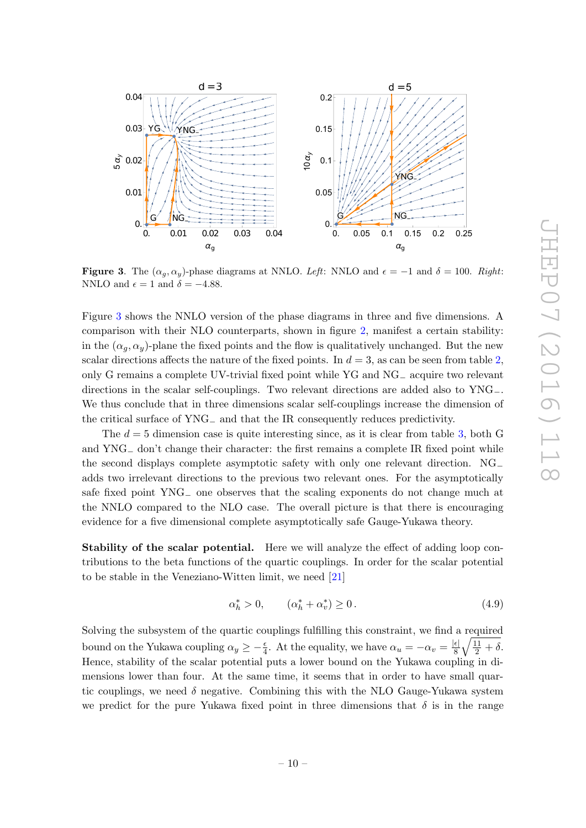

**Figure 3.** The  $(\alpha_g, \alpha_y)$ -phase diagrams at NNLO. *Left*: NNLO and  $\epsilon = -1$  and  $\delta = 100$ . *Right*: NNLO and  $\epsilon = 1$  and  $\delta = -4.88$ .

<span id="page-11-1"></span>Figure [3](#page-10-0) shows the NNLO version of the phase diagrams in three and five dimensions. A comparison with their NLO counterparts, shown in figure [2,](#page-8-0) manifest a certain stability: in the  $(\alpha_g, \alpha_y)$ -plane the fixed points and the flow is qualitatively unchanged. But the new scalar directions affects the nature of the fixed points. In  $d = 3$ , as can be seen from table [2](#page-9-1), only G remains a complete UV-trivial fixed point while YG and  $NG$ <sub>−</sub> acquire two relevant directions in the scalar self-couplings. Two relevant directions are added also to YNG<sub>-</sub>. We thus conclude that in three dimensions scalar self-couplings increase the dimension of the critical surface of YNG<sub>−</sub> and that the IR consequently reduces predictivity.

The  $d = 5$  dimension case is quite interesting since, as it is clear from table [3,](#page-9-2) both G and YNG<sub>−</sub> don't change their character: the first remains a complete IR fixed point while the second displays complete asymptotic safety with only one relevant direction. NG − adds two irrelevant directions to the previous two relevant ones. For the asymptotically safe fixed point YNG<sub>−</sub> one observes that the scaling exponents do not change much at the NNLO compared to the NLO case. The overall picture is that there is encouraging evidence for a five dimensional complete asymptotically safe Gauge-Yukawa theory.

Stability of the scalar potential. Here we will analyze the effect of adding loop contributions to the beta functions of the quartic couplings. In order for the scalar potential to be stable in the Veneziano-Witten limit, we need [\[21](#page-14-2) ]

<span id="page-11-0"></span>
$$
\alpha_h^* > 0, \qquad (\alpha_h^* + \alpha_v^*) \ge 0. \tag{4.9}
$$

Solving the subsystem of the quartic couplings fulfilling this constraint, we find a required bound on the Yukawa coupling  $\alpha_y \geq -\frac{\epsilon}{4}$  $\frac{\epsilon}{4}$ . At the equality, we have  $\alpha_u = -\alpha_v = \frac{|\epsilon|}{8} \sqrt{\frac{11}{2} + \delta}$ . Hence, stability of the scalar potential puts a lower bound on the Yukawa coupling in dimensions lower than four. At the same time, it seems that in order to have small quartic couplings, we need  $\delta$  negative. Combining this with the NLO Gauge-Yukawa system we predict for the pure Yukawa fixed point in three dimensions that  $\delta$  is in the range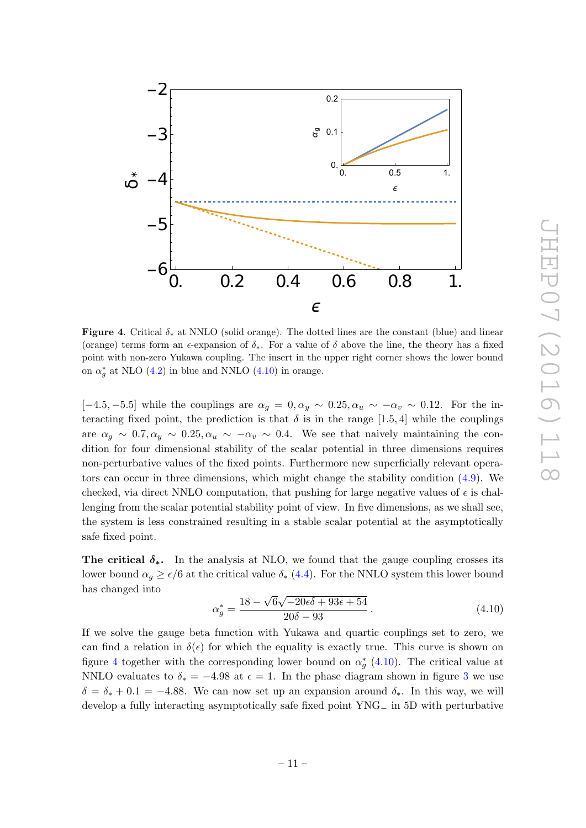

<span id="page-12-0"></span>**Figure 4.** Critical  $\delta_*$  at NNLO (solid orange). The dotted lines are the constant (blue) and linear (orange) terms form an  $\epsilon$ -expansion of  $\delta_*$ . For a value of  $\delta$  above the line, the theory has a fixed point with non-zero Yukawa coupling. The insert in the upper right corner shows the lower bound on  $\alpha_g^*$  at NLO [\(4.2\)](#page-7-1) in blue and NNLO [\(4.10\)](#page-11-0) in orange.

 $[-4.5, -5.5]$  while the couplings are  $\alpha_g = 0, \alpha_y \sim 0.25, \alpha_u \sim -\alpha_v \sim 0.12$ . For the interacting fixed point, the prediction is that  $\delta$  is in the range [1.5, 4] while the couplings are  $\alpha_g \sim 0.7, \alpha_y \sim 0.25, \alpha_u \sim -\alpha_v \sim 0.4$ . We see that naively maintaining the condition for four dimensional stability of the scalar potential in three dimensions requires non-perturbative values of the fixed points. Furthermore new superficially relevant operators can occur in three dimensions, which might change the stability condition [\(4.9\)](#page-10-1). We checked, via direct NNLO computation, that pushing for large negative values of  $\epsilon$  is challenging from the scalar potential stability point of view. In five dimensions, as we shall see, the system is less constrained resulting in a stable scalar potential at the asymptotically safe fixed point.

The critical  $\delta_{*}$ . In the analysis at NLO, we found that the gauge coupling crosses its lower bound  $\alpha_g \ge \epsilon/6$  at the critical value  $\delta_*$  [\(4.4\)](#page-7-3). For the NNLO system this lower bound has changed into

$$
\alpha_g^* = \frac{18 - \sqrt{6}\sqrt{-20\epsilon\delta + 93\epsilon + 54}}{20\delta - 93}.
$$
\n(4.10)

If we solve the gauge beta function with Yukawa and quartic couplings set to zero, we can find a relation in  $\delta(\epsilon)$  for which the equality is exactly true. This curve is shown on figure [4](#page-11-1) together with the corresponding lower bound on  $\alpha_g^*$  [\(4.10\)](#page-11-0). The critical value at NNLO evaluates to  $\delta_* = -4.98$  at  $\epsilon = 1$ . In the phase diagram shown in figure [3](#page-10-0) we use  $\delta = \delta_{*} + 0.1 = -4.88$ . We can now set up an expansion around  $\delta_{*}$ . In this way, we will develop a fully interacting asymptotically safe fixed point  $YNG$ <sub>−</sub> in 5D with perturbative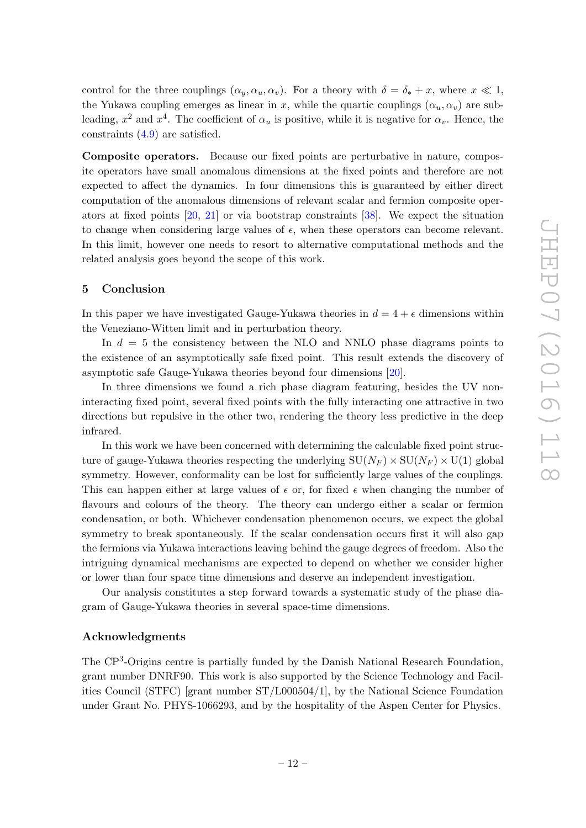control for the three couplings  $(\alpha_y, \alpha_u, \alpha_v)$ . For a theory with  $\delta = \delta_* + x$ , where  $x \ll 1$ , the Yukawa coupling emerges as linear in x, while the quartic couplings  $(\alpha_u, \alpha_v)$  are subleading,  $x^2$  and  $x^4$ . The coefficient of  $\alpha_u$  is positive, while it is negative for  $\alpha_v$ . Hence, the constraints [\(4.9\)](#page-10-1) are satisfied.

<span id="page-13-1"></span><span id="page-13-0"></span>Composite operators. Because our fixed points are perturbative in nature, composite operators have small anomalous dimensions at the fixed points and therefore are not expected to affect the dynamics. In four dimensions this is guaranteed by either direct computation of the anomalous dimensions of relevant scalar and fermion composite operators at fixed points [\[20,](#page-14-1) [21\]](#page-14-2) or via bootstrap constraints [\[38\]](#page-14-17). We expect the situation to change when considering large values of  $\epsilon$ , when these operators can become relevant. In this limit, however one needs to resort to alternative computational methods and the related analysis goes beyond the scope of this work.

#### <span id="page-13-3"></span><span id="page-13-2"></span>5 Conclusion

<span id="page-13-4"></span>In this paper we have investigated Gauge-Yukawa theories in  $d = 4 + \epsilon$  dimensions within the Veneziano-Witten limit and in perturbation theory.

<span id="page-13-6"></span><span id="page-13-5"></span>In  $d = 5$  the consistency between the NLO and NNLO phase diagrams points to the existence of an asymptotically safe fixed point. This result extends the discovery of asymptotic safe Gauge-Yukawa theories beyond four dimensions [\[20\]](#page-14-1).

In three dimensions we found a rich phase diagram featuring, besides the UV noninteracting fixed point, several fixed points with the fully interacting one attractive in two directions but repulsive in the other two, rendering the theory less predictive in the deep infrared.

<span id="page-13-8"></span><span id="page-13-7"></span>In this work we have been concerned with determining the calculable fixed point structure of gauge-Yukawa theories respecting the underlying  $SU(N_F) \times SU(N_F) \times U(1)$  global symmetry. However, conformality can be lost for sufficiently large values of the couplings. This can happen either at large values of  $\epsilon$  or, for fixed  $\epsilon$  when changing the number of flavours and colours of the theory. The theory can undergo either a scalar or fermion condensation, or both. Whichever condensation phenomenon occurs, we expect the global symmetry to break spontaneously. If the scalar condensation occurs first it will also gap the fermions via Yukawa interactions leaving behind the gauge degrees of freedom. Also the intriguing dynamical mechanisms are expected to depend on whether we consider higher or lower than four space time dimensions and deserve an independent investigation.

<span id="page-13-9"></span>Our analysis constitutes a step forward towards a systematic study of the phase diagram of Gauge-Yukawa theories in several space-time dimensions.

#### <span id="page-13-10"></span>Acknowledgments

<span id="page-13-12"></span><span id="page-13-11"></span>The CP<sup>3</sup>-Origins centre is partially funded by the Danish National Research Foundation, grant number DNRF90. This work is also supported by the Science Technology and Facilities Council (STFC) [grant number ST/L000504/1], by the National Science Foundation under Grant No. PHYS-1066293, and by the hospitality of the Aspen Center for Physics.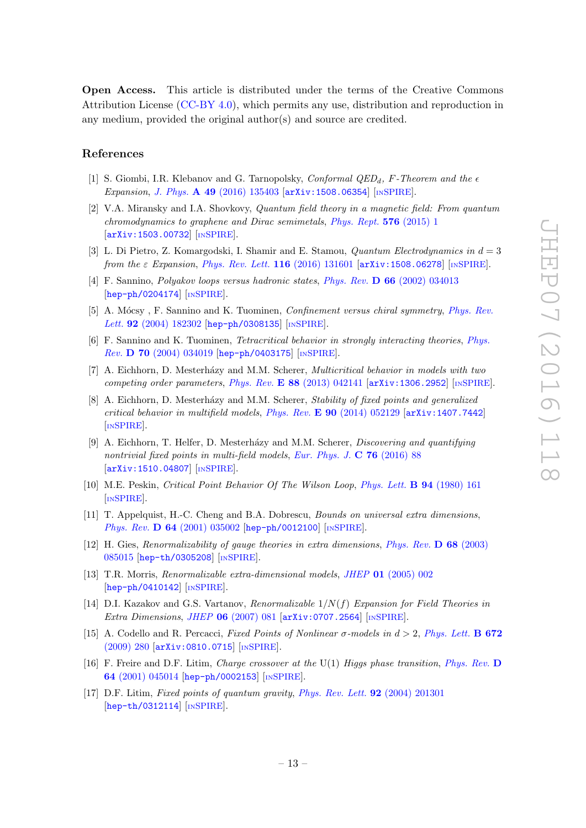<span id="page-14-0"></span>Open Access. This article is distributed under the terms of the Creative Commons Attribution License [\(CC-BY 4.0\)](http://creativecommons.org/licenses/by/4.0/), which permits any use, distribution and reproduction in any medium, provided the original author(s) and source are credited.

#### <span id="page-14-1"></span>References

- <span id="page-14-2"></span>[1] S. Giombi, I.R. Klebanov and G. Tarnopolsky, *Conformal QED<sub>d</sub>*, *F*-Theorem and the  $\epsilon$ *Expansion* , *J. Phys.* A 49 [\(2016\) 135403](http://dx.doi.org/10.1088/1751-8113/49/13/135403) [[arXiv:1508.06354](http://arxiv.org/abs/1508.06354)] [IN[SPIRE](http://inspirehep.net/search?p=find+EPRINT+arXiv:1508.06354)].
- <span id="page-14-3"></span>[2] V.A. Miransky and I.A. Shovkovy, *Quantum field theory in a magnetic field: From quantum chromodynamics to graphene and Dirac semimetals* , *[Phys. Rept.](http://dx.doi.org/10.1016/j.physrep.2015.02.003)* 576 (2015) 1 [[arXiv:1503.00732](http://arxiv.org/abs/1503.00732)] [IN[SPIRE](http://inspirehep.net/search?p=find+EPRINT+arXiv:1503.00732)].
- <span id="page-14-5"></span><span id="page-14-4"></span>[3] L. Di Pietro, Z. Komargodski, I. Shamir and E. Stamou, *Quantum Electrodynamics in* d = 3 *from the* ε *Expansion* , *[Phys. Rev. Lett.](http://dx.doi.org/10.1103/PhysRevLett.116.131601)* 116 (2016) 131601 [[arXiv:1508.06278](http://arxiv.org/abs/1508.06278)] [IN[SPIRE](http://inspirehep.net/search?p=find+EPRINT+arXiv:1508.06278)].
- <span id="page-14-6"></span>[4] F. Sannino, *Polyakov loops versus hadronic states* , *Phys. Rev.* D 66 [\(2002\) 034013](http://dx.doi.org/10.1103/PhysRevD.66.034013) [[hep-ph/0204174](http://arxiv.org/abs/hep-ph/0204174)] [IN[SPIRE](http://inspirehep.net/search?p=find+EPRINT+hep-ph/0204174)].
- [5] A. Mócsy, F. Sannino and K. Tuominen, *Confinement versus chiral symmetry*, *[Phys. Rev.](http://dx.doi.org/10.1103/PhysRevLett.92.182302)* Lett. **92** [\(2004\) 182302](http://dx.doi.org/10.1103/PhysRevLett.92.182302) [[hep-ph/0308135](http://arxiv.org/abs/hep-ph/0308135)] [IN[SPIRE](http://inspirehep.net/search?p=find+EPRINT+hep-ph/0308135)].
- <span id="page-14-7"></span>[6] F. Sannino and K. Tuominen, *Tetracritical behavior in strongly interacting theories* , *[Phys.](http://dx.doi.org/10.1103/PhysRevD.70.034019) Rev.* D 70 [\(2004\) 034019](http://dx.doi.org/10.1103/PhysRevD.70.034019) [[hep-ph/0403175](http://arxiv.org/abs/hep-ph/0403175)] [IN[SPIRE](http://inspirehep.net/search?p=find+EPRINT+hep-ph/0403175)].
- <span id="page-14-8"></span>[7] A. Eichhorn, D. Mesterh´azy and M.M. Scherer, *Multicritical behavior in models with two competing order parameters* , *Phys. Rev.* E 88 [\(2013\) 042141](http://dx.doi.org/10.1103/PhysRevE.88.042141) [[arXiv:1306.2952](http://arxiv.org/abs/1306.2952)] [IN[SPIRE](http://inspirehep.net/search?p=find+EPRINT+arXiv:1306.2952)].
- [8] A. Eichhorn, D. Mesterh´azy and M.M. Scherer, *Stability of fixed points and generalized critical behavior in multifield models* , *Phys. Rev.* E 90 [\(2014\) 052129](http://dx.doi.org/10.1103/PhysRevE.90.052129) [[arXiv:1407.7442](http://arxiv.org/abs/1407.7442) ] [IN[SPIRE](http://inspirehep.net/search?p=find+EPRINT+arXiv:1407.7442)].
- <span id="page-14-9"></span>[9] A. Eichhorn, T. Helfer, D. Mesterh´azy and M.M. Scherer, *Discovering and quantifying nontrivial fixed points in multi-field models* , *[Eur. Phys. J.](http://dx.doi.org/10.1140/epjc/s10052-016-3921-3)* C 76 (2016) 88 [[arXiv:1510.04807](http://arxiv.org/abs/1510.04807)] [IN[SPIRE](http://inspirehep.net/search?p=find+EPRINT+arXiv:1510.04807)].
- <span id="page-14-11"></span><span id="page-14-10"></span>[10] M.E. Peskin, *Critical Point Behavior Of The Wilson Loop* , *[Phys. Lett.](http://dx.doi.org/10.1016/0370-2693(80)90848-5)* B 94 (1980) 161 [IN[SPIRE](http://inspirehep.net/search?p=find+J+%22Phys.Lett.,B94,161%22)].
- <span id="page-14-12"></span>[11] T. Appelquist, H.-C. Cheng and B.A. Dobrescu, *Bounds on universal extra dimensions* , Phys. Rev. **D 64** [\(2001\) 035002](http://dx.doi.org/10.1103/PhysRevD.64.035002) [[hep-ph/0012100](http://arxiv.org/abs/hep-ph/0012100)] [IN[SPIRE](http://inspirehep.net/search?p=find+EPRINT+hep-ph/0012100)].
- <span id="page-14-13"></span>[12] H. Gies, *Renormalizability of gauge theories in extra dimensions* , *[Phys. Rev.](http://dx.doi.org/10.1103/PhysRevD.68.085015)* D 68 (2003) [085015](http://dx.doi.org/10.1103/PhysRevD.68.085015) [[hep-th/0305208](http://arxiv.org/abs/hep-th/0305208)] [IN[SPIRE](http://inspirehep.net/search?p=find+EPRINT+hep-th/0305208)].
- <span id="page-14-14"></span>[13] T.R. Morris, *Renormalizable extra-dimensional models* , *JHEP* 01 [\(2005\) 002](http://dx.doi.org/10.1088/1126-6708/2005/01/002) [[hep-ph/0410142](http://arxiv.org/abs/hep-ph/0410142)] [IN[SPIRE](http://inspirehep.net/search?p=find+EPRINT+hep-ph/0410142)].
- <span id="page-14-15"></span>[14] D.I. Kazakov and G.S. Vartanov, *Renormalizable* 1/N ( f ) *Expansion for Field Theories in Extra Dimensions* , *JHEP* 06 [\(2007\) 081](http://dx.doi.org/10.1088/1126-6708/2007/06/081) [[arXiv:0707.2564](http://arxiv.org/abs/0707.2564)] [IN[SPIRE](http://inspirehep.net/search?p=find+EPRINT+arXiv:0707.2564)].
- [15] A. Codello and R. Percacci, *Fixed Points of Nonlinear* σ*-models in* d > 2, *[Phys. Lett.](http://dx.doi.org/10.1016/j.physletb.2009.01.032)* B 672 [\(2009\) 280](http://dx.doi.org/10.1016/j.physletb.2009.01.032) [[arXiv:0810.0715](http://arxiv.org/abs/0810.0715)] [IN[SPIRE](http://inspirehep.net/search?p=find+EPRINT+arXiv:0810.0715)].
- <span id="page-14-16"></span>[16] F. Freire and D.F. Litim, *Charge crossover at the* U(1) *Higgs phase transition* , *[Phys. Rev.](http://dx.doi.org/10.1103/PhysRevD.64.045014)* D 64 [\(2001\) 045014](http://dx.doi.org/10.1103/PhysRevD.64.045014) [[hep-ph/0002153](http://arxiv.org/abs/hep-ph/0002153)] [IN[SPIRE](http://inspirehep.net/search?p=find+EPRINT+hep-ph/0002153)].
- <span id="page-14-17"></span>[17] D.F. Litim, *Fixed points of quantum gravity* , *[Phys. Rev. Lett.](http://dx.doi.org/10.1103/PhysRevLett.92.201301)* 92 (2004) 201301 [[hep-th/0312114](http://arxiv.org/abs/hep-th/0312114)] [IN[SPIRE](http://inspirehep.net/search?p=find+EPRINT+hep-th/0312114)].